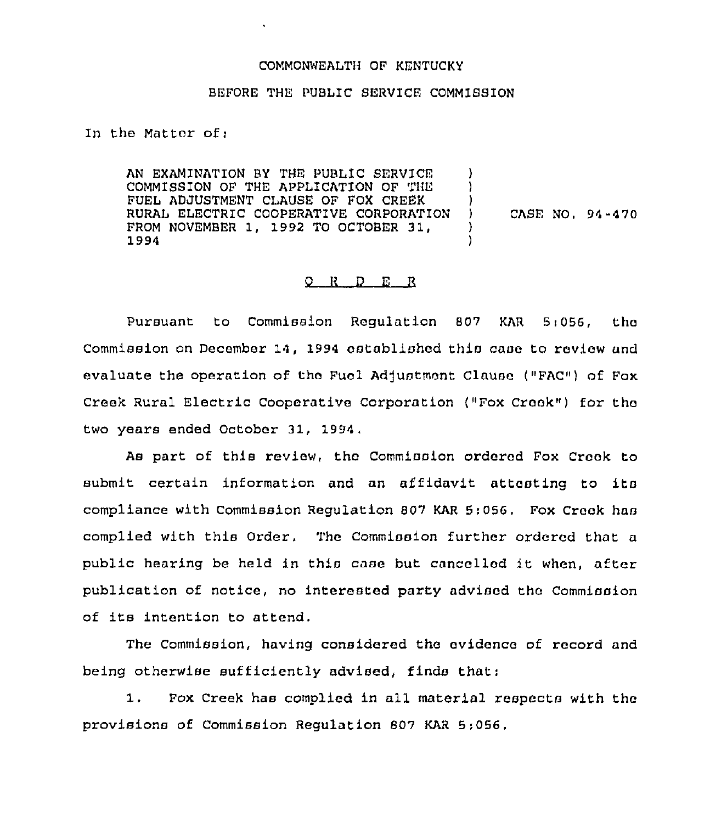## COMMONWEALTH OF KENTUCKY

## BEFORE THE PUBLIC SERVICE COMMISSION

In the Matter of;

AN EXAMINATION BY THE PUBLIC SERVICE COMMISSION OF THE APPLICATION OF THE FUEL ADJUSTMENT CLAUSE OF FOX CREEK RURAL ELECTRIC COOPERATIVE CORPORATION FROM NOVEMBER 1, 1992 TO OCTOBER 31, 1994 ) ) ) ) CASF, NO, 94-470 ) )

## $Q$  R  $D$  E  $R$

Pursuant to Commission Regulation 807 KAR 5:056, the Commission on December 14, 1994 established this case to review and evaluate the operation of the Fuol Adjustment Clause ("FAC") of Fox Creek Rural Electric Cooperative Corporation ("Fox Creek") for the two years ended October 31, 1994,

As part of this review, thc Commission ordered Fox Creek to submit certain information and an affidavit attesting to its compliance with Commission Regulation B07 KAR 5:056, Fox Crook has complied with this Order. The commission further ordered that a public hearing be held in this case but cancelled it when, after publication of notice, no interested party advised thc Commission of its intention to attend.

The Commission, having considered the evidence of record and being otherwise sufficiently advised, finds that:

1. Fox Creek has complied in all material respects with the provisions of Commission Regulation 607 KAR 5;056,